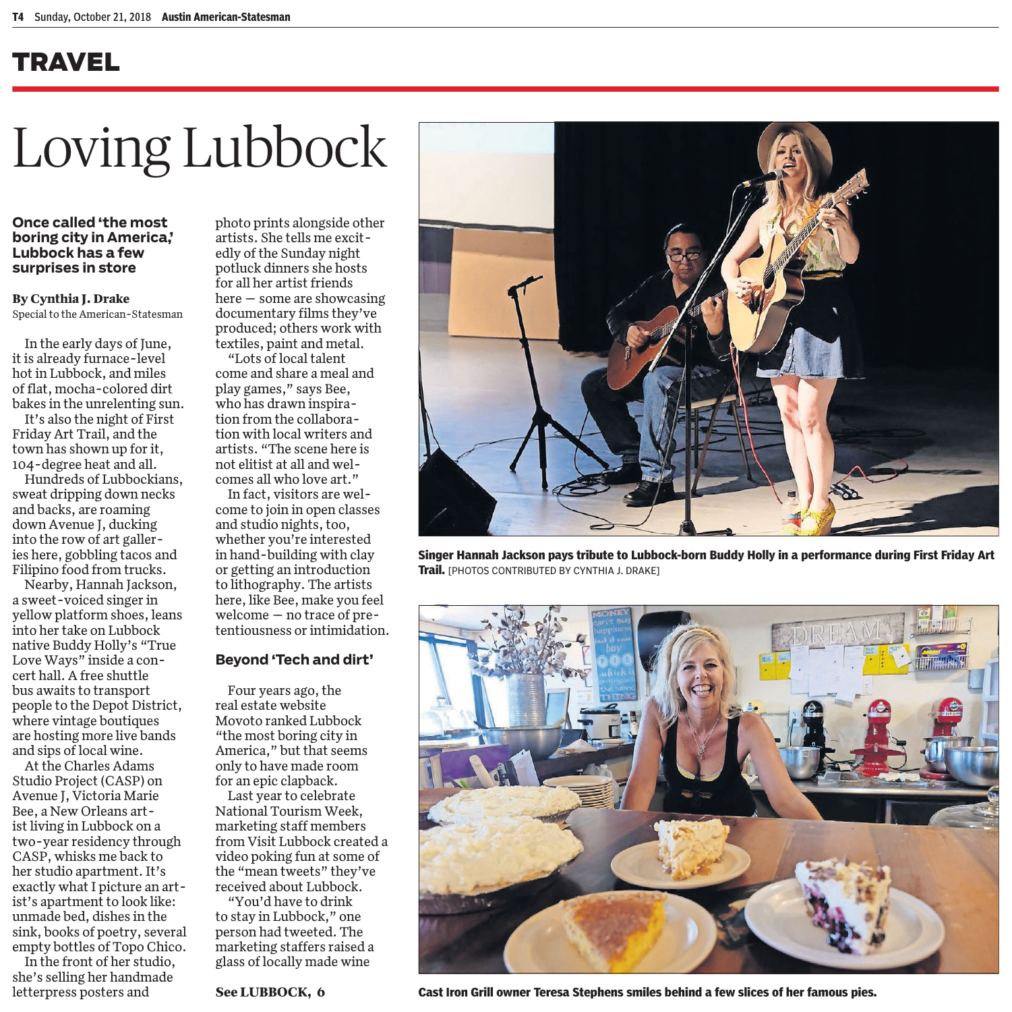### TRAVEL

# Loving Lubbock

### **Once called 'the most boring city in America,' Lubbock has a few surprises in store**

### **By Cynthia J. Drake**

Special to the American-Statesman

In the early days of June, it is already furnace-level hot in Lubbock, and miles of flat, mocha-colored dirt bakes in the unrelenting sun.

It's also the night of First Friday Art Trail, and the town has shown up for it, 104-degree heat and all.

Hundreds of Lubbockians, sweat dripping down necks and backs, are roaming down Avenue J, ducking into the row of art galleries here, gobbling tacos and Filipino food from trucks.

Nearby, Hannah Jackson, a sweet-voiced singer in yellow platform shoes, leans into her take on Lubbock native Buddy Holly's "True Love Ways" inside a concert hall. A free shuttle bus awaits to transport people to the Depot District, where vintage boutiques are hosting more live bands and sips of local wine.

At the Charles Adams Studio Project (CASP) on Avenue J, Victoria Marie Bee, a New Orleans artist living in Lubbock on a two-year residency through CASP, whisks me back to her studio apartment. It's exactly what I picture an artist's apartment to look like: unmade bed, dishes in the sink, books of poetry, several empty bottles of Topo Chico.

In the front of her studio, she's selling her handmade letterpress posters and

photo prints alongside other artists. She tells me excitedly of the Sunday night potluck dinners she hosts for all her artist friends here — some are showcasing documentary films they've produced; others work with textiles, paint and metal.

"Lots of local talent come and share a meal and play games," says Bee, who has drawn inspiration from the collaboration with local writers and artists. "The scene here is not elitist at all and welcomes all who love art."

In fact, visitors are welcome to join in open classes and studio nights, too, whether you're interested in hand-building with clay or getting an introduction to lithography. The artists here, like Bee, make you feel welcome — no trace of pretentiousness or intimidation.

### **Beyond 'Tech and dirt'**

Four years ago, the real estate website Movoto ranked Lubbock "the most boring city in America," but that seems only to have made room for an epic clapback.

Last year to celebrate National Tourism Week, marketing staff members from Visit Lubbock created a video poking fun at some of the "mean tweets" they've received about Lubbock.

"You'd have to drink to stay in Lubbock," one person had tweeted. The marketing staffers raised a glass of locally made wine





**Singer Hannah Jackson pays tribute to Lubbock-born Buddy Holly in a performance during First Friday Art Trail.** [PHOTOS CONTRIBUTED BY CYNTHIA J. DRAKE]



**See LUBBOCK, 6 Cast Iron Grill owner Teresa Stephens smiles behind a few slices of her famous pies.**